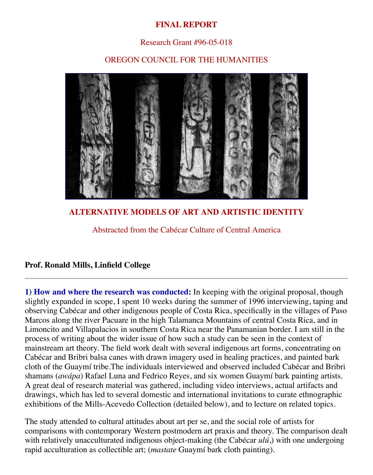# **FINAL REPORT**

### Research Grant #96-05-018

### OREGON COUNCIL FOR THE HUMANITIES



**ALTERNATIVE MODELS OF ART AND ARTISTIC IDENTITY**

Abstracted from the Cabécar Culture of Central America

#### **Prof. Ronald Mills, Linfield College**

**1) How and where the research was conducted:** In keeping with the original proposal, though slightly expanded in scope, I spent 10 weeks during the summer of 1996 interviewing, taping and observing Cabécar and other indigenous people of Costa Rica, specifically in the villages of Paso Marcos along the river Pacuare in the high Talamanca Mountains of central Costa Rica, and in Limoncito and Villapalacios in southern Costa Rica near the Panamanian border. I am still in the process of writing about the wider issue of how such a study can be seen in the context of mainstream art theory. The field work dealt with several indigenous art forms, concentrating on Cabécar and Bribri balsa canes with drawn imagery used in healing practices, and painted bark cloth of the Guaymí tribe.The individuals interviewed and observed included Cabécar and Bribri shamans (*awápa*) Rafael Luna and Fedrico Reyes, and six women Guaymí bark painting artists. A great deal of research material was gathered, including video interviews, actual artifacts and drawings, which has led to several domestic and international invitations to curate ethnographic exhibitions of the Mills-Acevedo Collection (detailed below), and to lecture on related topics.

The study attended to cultural attitudes about art per se, and the social role of artists for comparisons with contemporary Western postmodern art praxis and theory. The comparison dealt with relatively unacculturated indigenous object-making (the Cabécar *ulú*,) with one undergoing rapid acculturation as collectible art; (*mastate* Guaymí bark cloth painting).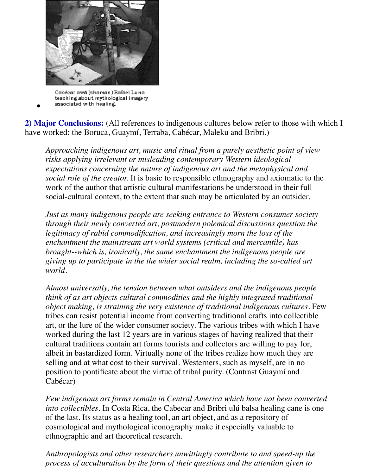

Cabécar awá (shaman) Rafael Luna teaching about mythological imagery associated with healing.

**2) Major Conclusions:** (All references to indigenous cultures below refer to those with which I have worked: the Boruca, Guaymí, Terraba, Cabécar, Maleku and Bribri.)

*Approaching indigenous art, music and ritual from a purely aesthetic point of view risks applying irrelevant or misleading contemporary Western ideological expectations concerning the nature of indigenous art and the metaphysical and social role of the creator.* It is basic to responsible ethnography and axiomatic to the work of the author that artistic cultural manifestations be understood in their full social-cultural context, to the extent that such may be articulated by an outsider.

*Just as many indigenous people are seeking entrance to Western consumer society through their newly converted art, postmodern polemical discussions question the legitimacy of rabid commodification, and increasingly morn the loss of the enchantment the mainstream art world systems (critical and mercantile) has brought--which is, ironically, the same enchantment the indigenous people are giving up to participate in the the wider social realm, including the so-called art world.*

*Almost universally, the tension between what outsiders and the indigenous people think of as art objects cultural commodities and the highly integrated traditional object making, is straining the very existence of traditional indigenous cultures.* Few tribes can resist potential income from converting traditional crafts into collectible art, or the lure of the wider consumer society. The various tribes with which I have worked during the last 12 years are in various stages of having realized that their cultural traditions contain art forms tourists and collectors are willing to pay for, albeit in bastardized form. Virtually none of the tribes realize how much they are selling and at what cost to their survival. Westerners, such as myself, are in no position to pontificate about the virtue of tribal purity. (Contrast Guaymí and Cabécar)

*Few indigenous art forms remain in Central America which have not been converted into collectibles.* In Costa Rica, the Cabecar and Bribri ulú balsa healing cane is one of the last. Its status as a healing tool, an art object, and as a repository of cosmological and mythological iconography make it especially valuable to ethnographic and art theoretical research.

*Anthropologists and other researchers unwittingly contribute to and speed-up the process of acculturation by the form of their questions and the attention given to*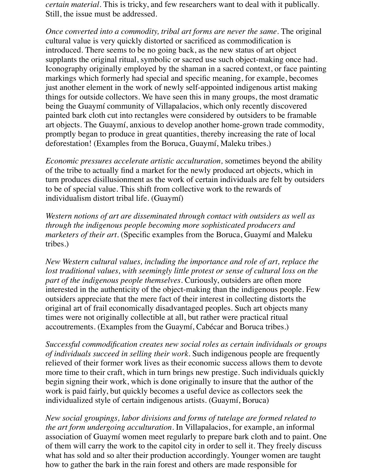*certain material.* This is tricky, and few researchers want to deal with it publically. Still, the issue must be addressed.

*Once converted into a commodity, tribal art forms are never the same.* The original cultural value is very quickly distorted or sacrificed as commodification is introduced. There seems to be no going back, as the new status of art object supplants the original ritual, symbolic or sacred use such object-making once had. Iconography originally employed by the shaman in a sacred context, or face painting markings which formerly had special and specific meaning, for example, becomes just another element in the work of newly self-appointed indigenous artist making things for outside collectors. We have seen this in many groups, the most dramatic being the Guaymí community of Villapalacios, which only recently discovered painted bark cloth cut into rectangles were considered by outsiders to be framable art objects. The Guaymí, anxious to develop another home-grown trade commodity, promptly began to produce in great quantities, thereby increasing the rate of local deforestation! (Examples from the Boruca, Guaymí, Maleku tribes.)

*Economic pressures accelerate artistic acculturation,* sometimes beyond the ability of the tribe to actually find a market for the newly produced art objects, which in turn produces disillusionment as the work of certain individuals are felt by outsiders to be of special value. This shift from collective work to the rewards of individualism distort tribal life. (Guaymí)

*Western notions of art are disseminated through contact with outsiders as well as through the indigenous people becoming more sophisticated producers and marketers of their art.* (Specific examples from the Boruca, Guaymí and Maleku tribes.)

*New Western cultural values, including the importance and role of art, replace the lost traditional values, with seemingly little protest or sense of cultural loss on the part of the indigenous people themselves.* Curiously, outsiders are often more interested in the authenticity of the object-making than the indigenous people. Few outsiders appreciate that the mere fact of their interest in collecting distorts the original art of frail economically disadvantaged peoples. Such art objects many times were not originally collectible at all, but rather were practical ritual accoutrements. (Examples from the Guaymí, Cabécar and Boruca tribes.)

*Successful commodification creates new social roles as certain individuals or groups of individuals succeed in selling their work*. Such indigenous people are frequently relieved of their former work lives as their economic success allows them to devote more time to their craft, which in turn brings new prestige. Such individuals quickly begin signing their work, which is done originally to insure that the author of the work is paid fairly, but quickly becomes a useful device as collectors seek the individualized style of certain indigenous artists. (Guaymí, Boruca)

*New social groupings, labor divisions and forms of tutelage are formed related to the art form undergoing acculturation.* In Villapalacios, for example, an informal association of Guaymí women meet regularly to prepare bark cloth and to paint. One of them will carry the work to the capitol city in order to sell it. They freely discuss what has sold and so alter their production accordingly. Younger women are taught how to gather the bark in the rain forest and others are made responsible for